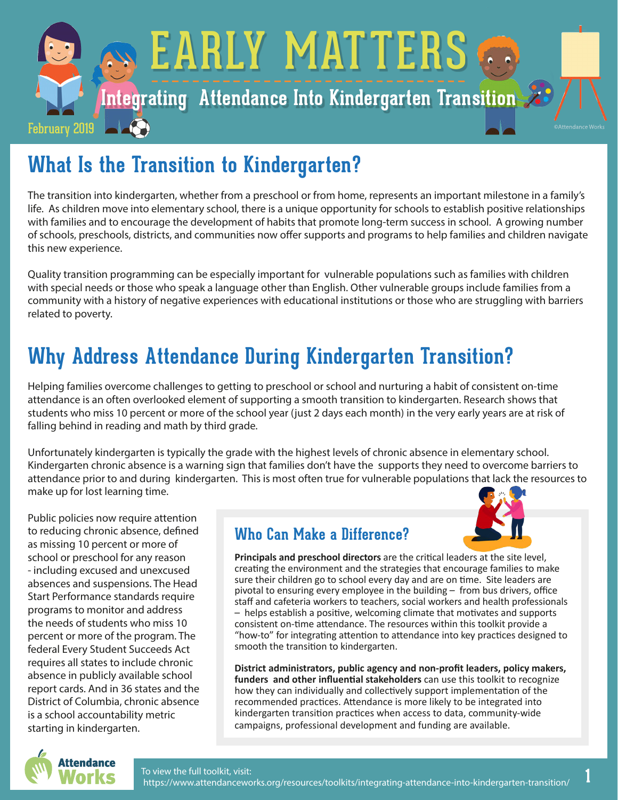

# **[What Is the Transition to Kindergarten?](https://www.attendanceworks.org/resources/toolkits/integrating-attendance-into-kindergarten-transition/)**

The transition into kindergarten, whether from a preschool or from home, represents an important milestone in a family's life. As children move into elementary school, there is a unique opportunity for schools to establish positive relationships with families and to encourage the development of habits that promote long-term success in school. A growing number of schools, preschools, districts, and communities now offer supports and programs to help families and children navigate this new experience.

Quality transition programming can be especially important for vulnerable populations such as families with children with special needs or those who speak a language other than English. Other vulnerable groups include families from a community with a history of negative experiences with educational institutions or those who are struggling with barriers related to poverty.

# **[Why Address Attendance During Kindergarten Transition?](https://www.attendanceworks.org/resources/toolkits/integrating-attendance-into-kindergarten-transition/why-address-attendance-during-kindergarten-transition/)**

Helping families overcome challenges to getting to preschool or school and nurturing a habit of consistent on-time attendance is an often overlooked element of supporting a smooth transition to kindergarten. Research shows that students who miss 10 percent or more of the school year (just 2 days each month) in the very early years are at risk of falling behind in reading and math by third grade.

Unfortunately kindergarten is typically the grade with the highest levels of chronic absence in elementary school. Kindergarten chronic absence is a warning sign that families don't have the supports they need to overcome barriers to attendance prior to and during kindergarten. This is most often true for vulnerable populations that lack the resources to make up for lost learning time.

Public policies now require attention to reducing chronic absence, defined as missing 10 percent or more of school or preschool for any reason - including excused and unexcused absences and suspensions. The Head Start Performance standards require programs to monitor and address the needs of students who miss 10 percent or more of the program. The federal Every Student Succeeds Act requires all states to include chronic absence in publicly available school report cards. And in 36 states and the District of Columbia, chronic absence is a school accountability metric starting in kindergarten.

### **Who Can Make a Difference?**



**Principals and preschool directors** are the critical leaders at the site level, creating the environment and the strategies that encourage families to make sure their children go to school every day and are on time. Site leaders are pivotal to ensuring every employee in the building – from bus drivers, office staff and cafeteria workers to teachers, social workers and health professionals – helps establish a positive, welcoming climate that motivates and supports consistent on-time attendance. The resources within this toolkit provide a "how-to" for integrating attention to attendance into key practices designed to smooth the transition to kindergarten.

**District administrators, public agency and non-profit leaders, policy makers, funders and other influential stakeholders** can use this toolkit to recognize how they can individually and collectively support implementation of the recommended practices. Attendance is more likely to be integrated into kindergarten transition practices when access to data, community-wide campaigns, professional development and funding are available.

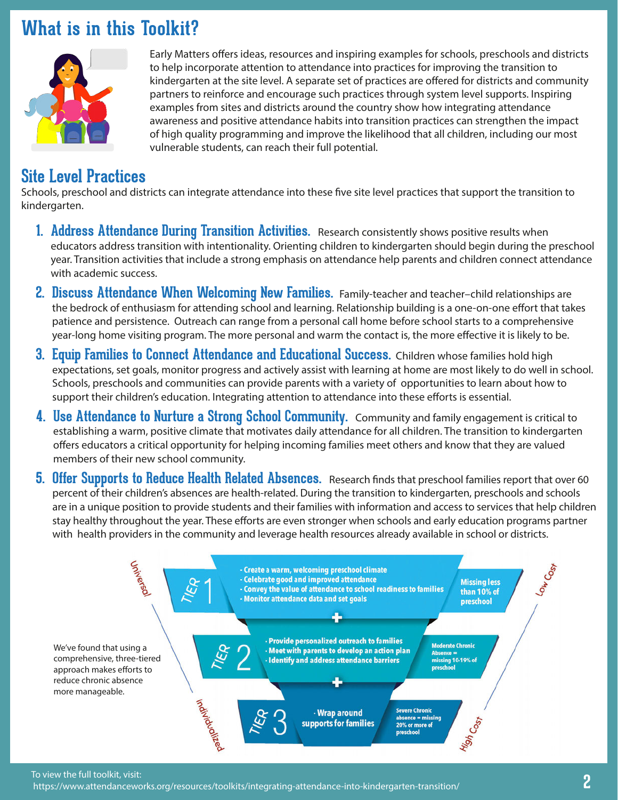# **What is in this Toolkit?**



Early Matters offers ideas, resources and inspiring examples for schools, preschools and districts to help incorporate attention to attendance into practices for improving the transition to kindergarten at the site level. A separate set of practices are offered for districts and community partners to reinforce and encourage such practices through system level supports. Inspiring examples from sites and districts around the country show how integrating attendance awareness and positive attendance habits into transition practices can strengthen the impact of high quality programming and improve the likelihood that all children, including our most vulnerable students, can reach their full potential.

## **Site Level Practices**

Schools, preschool and districts can integrate attendance into these five site level practices that support the transition to kindergarten.

- **[1. Address Attendance During Transition Activities.](https://www.attendanceworks.org/resources/toolkits/integrating-attendance-into-kindergarten-transition/address-attendance-during-transition-activities/)** Research consistently shows positive results when educators address transition with intentionality. Orienting children to kindergarten should begin during the preschool year. Transition activities that include a strong emphasis on attendance help parents and children connect attendance with academic success.
- **[2. Discuss Attendance When Welcoming New Families.](https://www.attendanceworks.org/resources/toolkits/integrating-attendance-into-kindergarten-transition/discuss-attendance-when-welcoming-new-families/)** Family-teacher and teacher–child relationships are the bedrock of enthusiasm for attending school and learning. Relationship building is a one-on-one effort that takes patience and persistence. Outreach can range from a personal call home before school starts to a comprehensive year-long home visiting program. The more personal and warm the contact is, the more effective it is likely to be.
- **[3. Equip Families to Connect Attendance and Educational Success.](https://www.attendanceworks.org/resources/toolkits/integrating-attendance-into-kindergarten-transition/equip-families-to-connect-attendance-and-educational-success/)** Children whose families hold high expectations, set goals, monitor progress and actively assist with learning at home are most likely to do well in school. Schools, preschools and communities can provide parents with a variety of opportunities to learn about how to support their children's education. Integrating attention to attendance into these efforts is essential.
- **[4. Use Attendance to Nurture a Strong School Community.](https://www.attendanceworks.org/resources/toolkits/integrating-attendance-into-kindergarten-transition/use-attendance-to-nurture-a-strong-school-community/)** Community and family engagement is critical to establishing a warm, positive climate that motivates daily attendance for all children. The transition to kindergarten offers educators a critical opportunity for helping incoming families meet others and know that they are valued members of their new school community.
- **[5. Offer Supports to Reduce Health Related Absences.](https://www.attendanceworks.org/resources/toolkits/integrating-attendance-into-kindergarten-transition/offer-supports-to-reduce-health-related-absences/)** Research finds that preschool families report that over 60 percent of their children's absences are health-related. During the transition to kindergarten, preschools and schools are in a unique position to provide students and their families with information and access to services that help children stay healthy throughout the year. These efforts are even stronger when schools and early education programs partner with health providers in the community and leverage health resources already available in school or districts.



To view the full toolkit, visit:

https://www.attendanceworks.org/resources/toolkits/integrating-attendance-into-kindergarten-transition/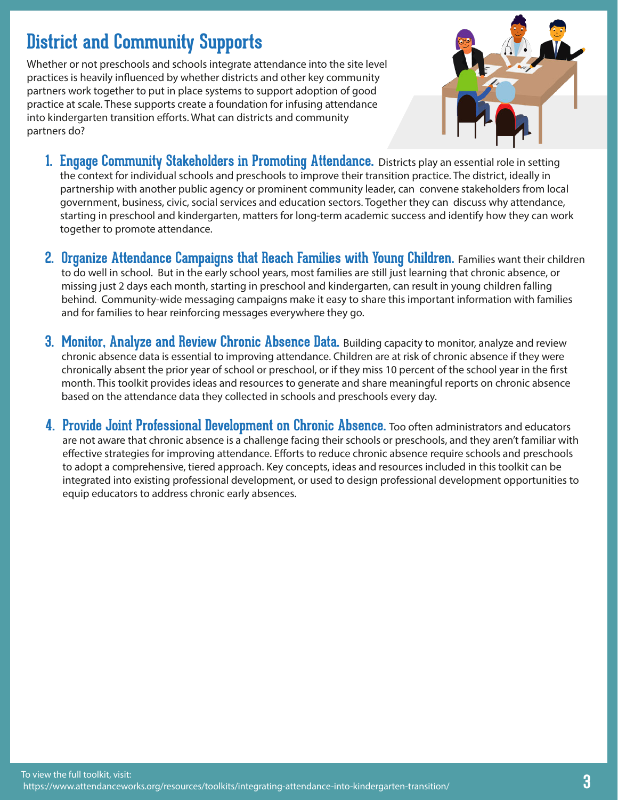# **District and Community Supports**

Whether or not preschools and schools integrate attendance into the site level practices is heavily influenced by whether districts and other key community partners work together to put in place systems to support adoption of good practice at scale. These supports create a foundation for infusing attendance into kindergarten transition efforts. What can districts and community partners do?



- **1. [Engage Community Stakeholders in Promoting Attendance.](https://www.attendanceworks.org/resources/toolkits/integrating-attendance-into-kindergarten-transition/engage-community-stakeholders-in-promoting-attendance/)** Districts play an essential role in setting the context for individual schools and preschools to improve their transition practice. The district, ideally in partnership with another public agency or prominent community leader, can convene stakeholders from local government, business, civic, social services and education sectors. Together they can discuss why attendance, starting in preschool and kindergarten, matters for long-term academic success and identify how they can work together to promote attendance.
- **2. [Organize Attendance Campaigns that Reach Families with Young Children.](https://www.attendanceworks.org/resources/toolkits/integrating-attendance-into-kindergarten-transition/organize-attendance-campaigns-that-reach-families-with-young-children/)** Families want their children to do well in school. But in the early school years, most families are still just learning that chronic absence, or missing just 2 days each month, starting in preschool and kindergarten, can result in young children falling behind. Community-wide messaging campaigns make it easy to share this important information with families and for families to hear reinforcing messages everywhere they go.
- **3. [Monitor, Analyze and Review Chronic Absence Data.](https://www.attendanceworks.org/resources/toolkits/integrating-attendance-into-kindergarten-transition/monitor-analyze-and-disseminate-chronic-absence-data/)** Building capacity to monitor, analyze and review chronic absence data is essential to improving attendance. Children are at risk of chronic absence if they were chronically absent the prior year of school or preschool, or if they miss 10 percent of the school year in the first month. This toolkit provides ideas and resources to generate and share meaningful reports on chronic absence based on the attendance data they collected in schools and preschools every day.
- **4. [Provide Joint Professional Development on Chronic Absence.](https://www.attendanceworks.org/resources/toolkits/integrating-attendance-into-kindergarten-transition/provide-joint-professional-development-on-chronic-absence/)** Too often administrators and educators are not aware that chronic absence is a challenge facing their schools or preschools, and they aren't familiar with effective strategies for improving attendance. Efforts to reduce chronic absence require schools and preschools to adopt a comprehensive, tiered approach. Key concepts, ideas and resources included in this toolkit can be integrated into existing professional development, or used to design professional development opportunities to equip educators to address chronic early absences.